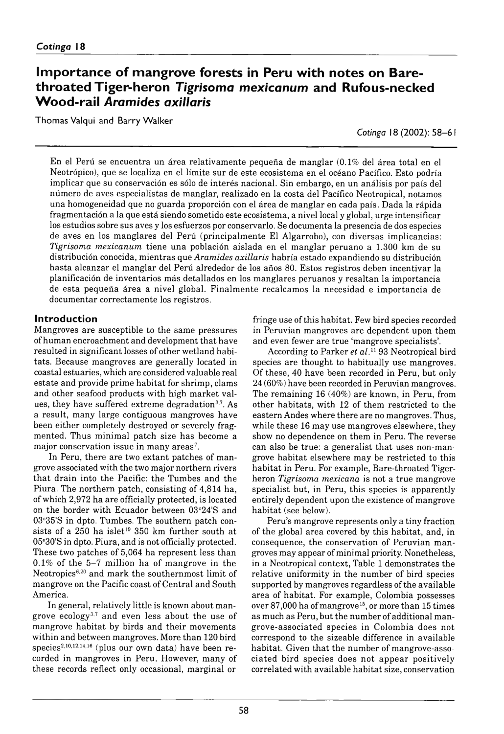## **Importance of mangrove forests in Peru with notes on Bare**throated Tiger-heron Tigrisoma mexicanum and Rufous-necked **W o o d - Ra il** *Aramides axillaris*

Thomas Valqui and Barry Walker

*Cotinga* 18 (2002): 58–61

En el Perú se encuentra un área relativamente pequeña de manglar (0.1% del área total en el Neotrópico), que se localiza en el límite sur de este ecosistema en el océano Pacífico. Esto podría implicar que su conservación es sólo de interés nacional. Sin embargo, en un análisis por país del número de aves especialistas de manglar, realizado en la costa del Pacífico Neotropical, notamos una homogeneidad que no guarda proporción con el área de manglar en cada país. Dada la rápida fragmentación a la que está siendo sometido este ecosistema, a nivel local y global, urge intensificar los estudios sobre sus aves y los esfuerzos por conservarlo. Se documenta la presencia de dos especies de aves en los manglares del Perú ( principalmente El Algarrobo), con diversas implicancias: *Tigrisoma mexicanum* tiene una población aislada en el manglar peruano a 1.300 km de su distribución conocida, mientras que *Aramides axillaris* habría estado expandiendo su distribución hasta alcanzar el manglar del Perú alrededor de los años 80. Estos registros deben incentivar la planificación de inventarios más detallados en los manglares peruanos y resaltan la importancia de esta pequeña área a nivel global. Finalm ente recalcamos la necesidad e im portancia de documentar correctamente los registros.

## **Introduction**

Mangroves are susceptible to the same pressures of human encroachment and development that have resulted in significant losses of other wetland habitats. Because mangroves are generally located in coastal estuaries, which are considered valuable real estate and provide prime habitat for shrimp, clams and other seafood products with high market values, they have suffered extreme degradation<sup>3,7</sup>. As a result, many large contiguous mangroves have been either completely destroyed or severely fragmented. Thus minimal patch size has become a major conservation issue in many areas<sup>7</sup>.

In Peru, there are two extant patches of mangrove associated with the two major northern rivers that drain into the Pacific: the Tumbes and the Piura. The northern patch, consisting of 4,814 ha, of which 2972 ha are officially protected, is located on the border with Ecuador between 03°24'S and 03°35'S in dpto. Tumbes. The southern patch consists of a  $250$  ha islet<sup>19</sup> 350 km further south at 05°30'S in dpto. Piura, and is not officially protected. These two patches of 5,064 ha represent less than  $0.1\%$  of the 5–7 million ha of mangrove in the Neotropics $6,20$  and mark the southernmost limit of mangrove on the Pacific coast of Central and South America.

In general, relatively little is known about mangrove ecology3,7 and even less about the use of mangrove habitat by birds and their movements within and between mangroves. More than 120 bird species<sup>2,10,12,14,16</sup> (plus our own data) have been recorded in mangroves in Peru. However, many of these records reflect only occasional, marginal or

fringe use of this habitat. Few bird species recorded in Peruvian mangroves are dependent upon them and even fewer are true 'mangrove specialists'.

According to Parker *et al.*11 93 Neotropical bird species are thought to habitually use mangroves. Of these, 40 have been recorded in Peru, but only 24 (60%) have been recorded in Peruvian mangroves. The remaining 16 (40%) are known, in Peru, from other habitats, with 12 of them restricted to the eastern Andes where there are no mangroves. Thus, while these 16 may use mangroves elsewhere, they show no dependence on them in Peru. The reverse can also be true: a generalist that uses non-mangrove habitat elsewhere may be restricted to this habitat in Peru. For example, Bare-throated Tigerheron *Tigrisoma mexicana* is not a true mangrove specialist but, in Peru, this species is apparently entirely dependent upon the existence of mangrove habitat (see below).

Peru's mangrove represents only a tiny fraction of the global area covered by this habitat, and, in consequence, the conservation of Peruvian mangroves may appear of minimal priority. Nonetheless, in a Neotropical context, Table 1 demonstrates the relative uniformity in the number of bird species supported by mangroves regardless of the available area of habitat. For example, Colombia possesses over 87,000 ha of mangrove<sup>15</sup>, or more than 15 times as much as Peru, but the number of additional mangrove-associated species in Colombia does not correspond to the sizeable difference in available habitat. Given that the number of mangrove-associated bird species does not appear positively correlated with available habitat size, conservation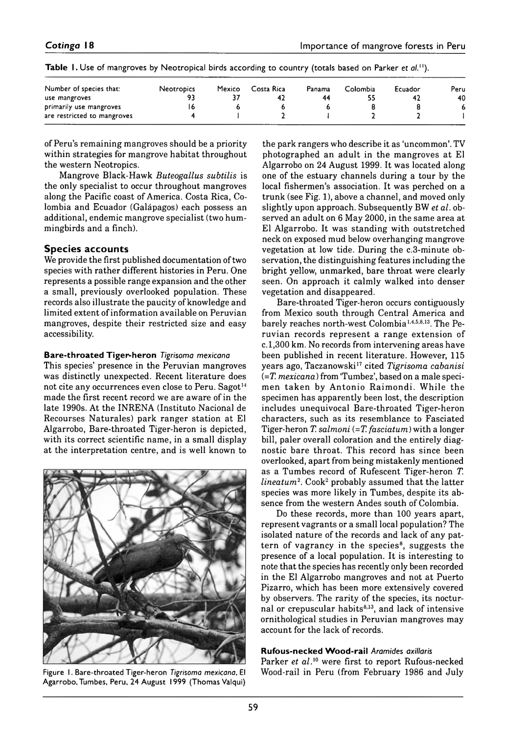| Number of species that:     | <b>Neotropics</b> | Mexico | Costa Rica | Panama | Colombia | Ecuador | Peru |
|-----------------------------|-------------------|--------|------------|--------|----------|---------|------|
| use mangroves               | 93                |        |            | 44     | ככ       |         | 40   |
| primarily use mangroves     | ь                 |        |            |        |          |         |      |
| are restricted to mangroves |                   |        |            |        |          |         |      |

**Table 1.** Use of mangroves by Neotropical birds according to country (totals based on Parker et al.<sup>11</sup>).

of Peru's remaining mangroves should be a priority within strategies for mangrove habitat throughout the western Neotropics.

Mangrove Black-Hawk *Buteogallus subtilis* is the only specialist to occur throughout mangroves along the Pacific coast of America. Costa Rica, Colombia and Ecuador (Galápagos) each possess an additional, endemic mangrove specialist (two hummingbirds and a finch).

### **Species accounts**

We provide the first published documentation of two species with rather different histories in Peru. One represents a possible range expansion and the other a small, previously overlooked population. These records also illustrate the paucity of knowledge and limited extent of information available on Peruvian mangroves, despite their restricted size and easy accessibility.

## **B are-th ro ated T iger-heron** *Tigrisoma mexicana*

This species' presence in the Peruvian mangroves was distinctly unexpected. Recent literature does not cite any occurrences even close to Peru. Sagot<sup>14</sup> made the first recent record we are aware of in the late 1990s. At the INRENA (Instituto Nacional de Recourses Naturales) park ranger station at El Algarrobo, Bare-throated Tiger-heron is depicted, with its correct scientific name, in a small display at the interpretation centre, and is well known to



Figure 1. Bare-throated Tiger-heron *Tigrisoma mexicana*, El Agarrobo, Tumbes, Peru, 24 August 1999 (Thomas Valqui)

the park rangers who describe it as 'uncommon'. TV photographed an adult in the mangroves at El Algarrobo on 24 August 1999. It was located along one of the estuary channels during a tour by the local fishermen's association. It was perched on a trunk (see Fig. 1), above a channel, and moved only slightly upon approach. Subsequently BW *et al.* observed an adult on 6 May 2000, in the same area at El Algarrobo. It was standing with outstretched neck on exposed mud below overhanging mangrove vegetation at low tide. During the c.3-minute observation, the distinguishing features including the bright yellow, unmarked, bare throat were clearly seen. On approach it calmly walked into denser vegetation and disappeared.

Bare-throated Tiger-heron occurs contiguously from Mexico south through Central America and barely reaches north-west Colombia1,4,5,8,13. The Peruvian records represent a range extension of *c.* 1300 km. No records from intervening areas have been published in recent literature. However, 115 years ago, Taczanowski17 cited *Tigrisoma cabanisi* (= *T. mexicana*) from 'Tumbez', based on a male specimen taken by Antonio Raimondi. While the specimen has apparently been lost, the description includes unequivocal Bare-throated Tiger-heron characters, such as its resemblance to Fasciated Tiger-heron *T. salmoni*  $(=T,$  *fasciatum*) with a longer bill, paler overall coloration and the entirely diagnostic bare throat. This record has since been overlooked, apart from being mistakenly mentioned as a Tumbes record of Rufescent Tiger-heron *T. lineatum*<sup>2</sup>. Cook<sup>2</sup> probably assumed that the latter species was more likely in Tumbes, despite its absence from the western Andes south of Colombia.

Do these records, more than 100 years apart, represent vagrants or a small local population? The isolated nature of the records and lack of any pattern of vagrancy in the species<sup>8</sup>, suggests the presence of a local population. It is interesting to note that the species has recently only been recorded in the El Algarrobo mangroves and not at Puerto Pizarro, which has been more extensively covered by observers. The rarity of the species, its nocturnal or crepuscular habits<sup>8,13</sup>, and lack of intensive ornithological studies in Peruvian mangroves may account for the lack of records.

#### **Rufous-necked Wood-rail Aramides axillaris**

Parker *et al.*10 were first to report Rufous-necked Wood-rail in Peru (from February 1986 and July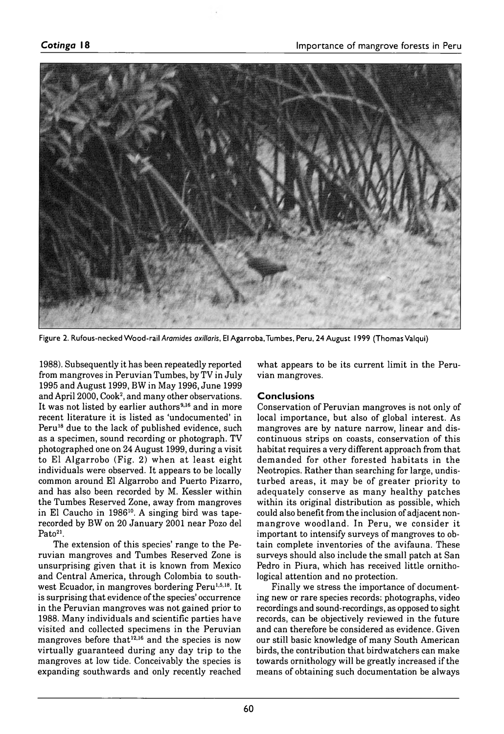

Figure 2. Rufous-necked Wood-rail Aramides axillaris, El Agarroba, Tumbes, Peru, 24 August 1999 (Thomas Valqui)

1988). Subsequently it has been repeatedly reported from mangroves in Peruvian Tumbes, by TV in July 1995 and August 1999, BW in May 1996, June 1999 and April 2000, Cook<sup>2</sup>, and many other observations. It was not listed by earlier authors<sup>9,16</sup> and in more recent literature it is listed as 'undocumented' in Peru<sup>18</sup> due to the lack of published evidence, such as a specimen, sound recording or photograph. TV photographed one on 24 August 1999, during a visit to El Algarrobo (Fig. 2) when at least eight individuals were observed. It appears to be locally common around El Algarrobo and Puerto Pizarro, and has also been recorded by M. Kessler within the Tumbes Reserved Zone, away from mangroves in El Caucho in 1986<sup>10</sup>. A singing bird was taperecorded by BW on 20 January 2001 near Pozo del Pato<sup>21</sup>.

The extension of this species' range to the Peruvian mangroves and Tumbes Reserved Zone is unsurprising given that it is known from Mexico and Central America, through Colombia to southwest Ecuador, in mangroves bordering Peru<sup>1,5,18</sup>. It is surprising that evidence of the species' occurrence in the Peruvian mangroves was not gained prior to 1988. Many individuals and scientific parties have visited and collected specimens in the Peruvian mangroves before that<sup>12,16</sup> and the species is now virtually guaranteed during any day trip to the mangroves at low tide. Conceivably the species is expanding southwards and only recently reached what appears to be its current limit in the Peruvian mangroves.

#### **Conclusions**

Conservation of Peruvian mangroves is not only of local importance, but also of global interest. As mangroves are by nature narrow, linear and discontinuous strips on coasts, conservation of this habitat requires a very different approach from that demanded for other forested habitats in the Neotropics. Rather than searching for large, undisturbed areas, it may be of greater priority to adequately conserve as many healthy patches within its original distribution as possible, which could also benefit from the inclusion of adjacent nonmangrove woodland. In Peru, we consider it im portant to intensify surveys of mangroves to obtain complete inventories of the avifauna. These surveys should also include the small patch at San Pedro in Piura, which has received little ornithological attention and no protection.

Finally we stress the importance of documenting new or rare species records: photographs, video recordings and sound-recordings, as opposed to sight records, can be objectively reviewed in the future and can therefore be considered as evidence. Given our still basic knowledge of many South American birds, the contribution that birdwatchers can make towards ornithology will be greatly increased if the means of obtaining such documentation be always